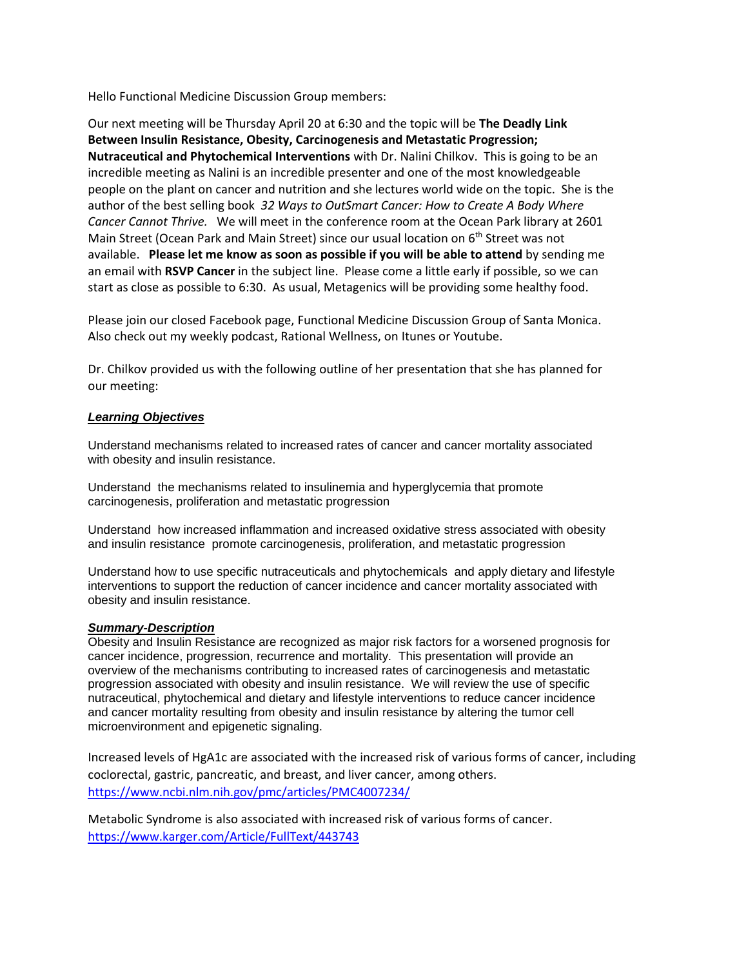Hello Functional Medicine Discussion Group members:

Our next meeting will be Thursday April 20 at 6:30 and the topic will be **The Deadly Link Between Insulin Resistance, Obesity, Carcinogenesis and Metastatic Progression; Nutraceutical and Phytochemical Interventions** with Dr. Nalini Chilkov. This is going to be an incredible meeting as Nalini is an incredible presenter and one of the most knowledgeable people on the plant on cancer and nutrition and she lectures world wide on the topic. She is the author of the best selling book *32 Ways to OutSmart Cancer: How to Create A Body Where Cancer Cannot Thrive.* We will meet in the conference room at the Ocean Park library at 2601 Main Street (Ocean Park and Main Street) since our usual location on 6th Street was not available. **Please let me know as soon as possible if you will be able to attend** by sending me an email with **RSVP Cancer** in the subject line. Please come a little early if possible, so we can start as close as possible to 6:30. As usual, Metagenics will be providing some healthy food.

Please join our closed Facebook page, Functional Medicine Discussion Group of Santa Monica. Also check out my weekly podcast, Rational Wellness, on Itunes or Youtube.

Dr. Chilkov provided us with the following outline of her presentation that she has planned for our meeting:

## *Learning Objectives*

Understand mechanisms related to increased rates of cancer and cancer mortality associated with obesity and insulin resistance.

Understand the mechanisms related to insulinemia and hyperglycemia that promote carcinogenesis, proliferation and metastatic progression

Understand how increased inflammation and increased oxidative stress associated with obesity and insulin resistance promote carcinogenesis, proliferation, and metastatic progression

Understand how to use specific nutraceuticals and phytochemicals and apply dietary and lifestyle interventions to support the reduction of cancer incidence and cancer mortality associated with obesity and insulin resistance.

## *Summary-Description*

Obesity and Insulin Resistance are recognized as major risk factors for a worsened prognosis for cancer incidence, progression, recurrence and mortality. This presentation will provide an overview of the mechanisms contributing to increased rates of carcinogenesis and metastatic progression associated with obesity and insulin resistance. We will review the use of specific nutraceutical, phytochemical and dietary and lifestyle interventions to reduce cancer incidence and cancer mortality resulting from obesity and insulin resistance by altering the tumor cell microenvironment and epigenetic signaling.

Increased levels of HgA1c are associated with the increased risk of various forms of cancer, including coclorectal, gastric, pancreatic, and breast, and liver cancer, among others. <https://www.ncbi.nlm.nih.gov/pmc/articles/PMC4007234/>

Metabolic Syndrome is also associated with increased risk of various forms of cancer. <https://www.karger.com/Article/FullText/443743>